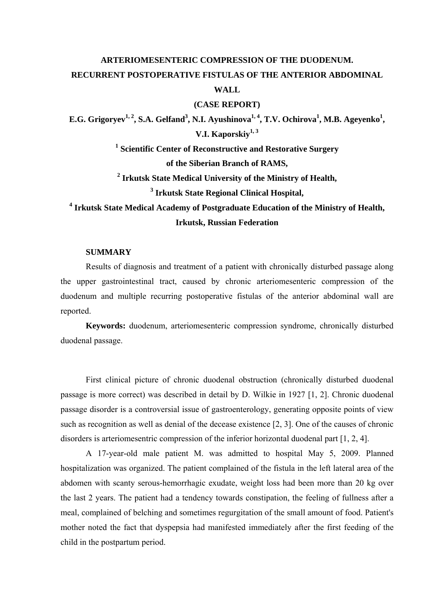# **ARTERIOMESENTERIC COMPRESSION OF THE DUODENUM. RECURRENT POSTOPERATIVE FISTULAS OF THE ANTERIOR ABDOMINAL WALL**

#### **(CASE REPORT)**

E.G. Grigoryev<sup>1, 2</sup>, S.A. Gelfand<sup>3</sup>, N.I. Ayushinova<sup>1, 4</sup>, T.V. Ochirova<sup>1</sup>, M.B. Ageyenko<sup>1</sup>, **V.I. Kaporskiy1, 3**

> **1 Scientific Center of Reconstructive and Restorative Surgery of the Siberian Branch of RAMS,**

> **2 Irkutsk State Medical University of the Ministry of Health, 3 Irkutsk State Regional Clinical Hospital,**

**4 Irkutsk State Medical Academy of Postgraduate Education of the Ministry of Health, Irkutsk, Russian Federation** 

## **SUMMARY**

Results of diagnosis and treatment of a patient with chronically disturbed passage along the upper gastrointestinal tract, caused by chronic arteriomesenteric compression of the duodenum and multiple recurring postoperative fistulas of the anterior abdominal wall are reported.

**Keywords:** duodenum, arteriomesenteric compression syndrome, chronically disturbed duodenal passage.

First clinical picture of chronic duodenal obstruction (chronically disturbed duodenal passage is more correct) was described in detail by D. Wilkie in 1927 [1, 2]. Chronic duodenal passage disorder is a controversial issue of gastroenterology, generating opposite points of view such as recognition as well as denial of the decease existence [2, 3]. One of the causes of chronic disorders is arteriomesentric compression of the inferior horizontal duodenal part [1, 2, 4].

A 17-year-old male patient M. was admitted to hospital May 5, 2009. Planned hospitalization was organized. The patient complained of the fistula in the left lateral area of the abdomen with scanty serous-hemorrhagic exudate, weight loss had been more than 20 kg over the last 2 years. The patient had a tendency towards constipation, the feeling of fullness after a meal, complained of belching and sometimes regurgitation of the small amount of food. Patient's mother noted the fact that dyspepsia had manifested immediately after the first feeding of the child in the postpartum period.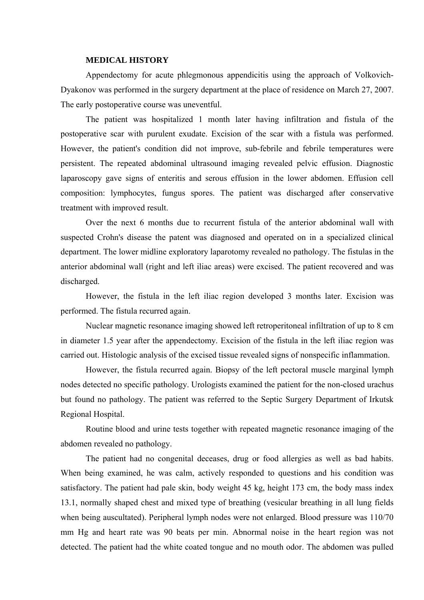#### **MEDICAL HISTORY**

Appendectomy for acute phlegmonous appendicitis using the approach of Volkovich-Dyakonov was performed in the surgery department at the place of residence on March 27, 2007. The early postoperative course was uneventful.

The patient was hospitalized 1 month later having infiltration and fistula of the postoperative scar with purulent exudate. Excision of the scar with a fistula was performed. However, the patient's condition did not improve, sub-febrile and febrile temperatures were persistent. The repeated abdominal ultrasound imaging revealed pelvic effusion. Diagnostic laparoscopy gave signs of enteritis and serous effusion in the lower abdomen. Effusion cell composition: lymphocytes, fungus spores. The patient was discharged after conservative treatment with improved result.

Over the next 6 months due to recurrent fistula of the anterior abdominal wall with suspected Crohn's disease the patent was diagnosed and operated on in a specialized clinical department. The lower midline exploratory laparotomy revealed no pathology. The fistulas in the anterior abdominal wall (right and left iliac areas) were excised. The patient recovered and was discharged.

However, the fistula in the left iliac region developed 3 months later. Excision was performed. The fistula recurred again.

Nuclear magnetic resonance imaging showed left retroperitoneal infiltration of up to 8 cm in diameter 1.5 year after the appendectomy. Excision of the fistula in the left iliac region was carried out. Histologic analysis of the excised tissue revealed signs of nonspecific inflammation.

However, the fistula recurred again. Biopsy of the left pectoral muscle marginal lymph nodes detected no specific pathology. Urologists examined the patient for the non-closed urachus but found no pathology. The patient was referred to the Septic Surgery Department of Irkutsk Regional Hospital.

Routine blood and urine tests together with repeated magnetic resonance imaging of the abdomen revealed no pathology.

The patient had no congenital deceases, drug or food allergies as well as bad habits. When being examined, he was calm, actively responded to questions and his condition was satisfactory. The patient had pale skin, body weight 45 kg, height 173 cm, the body mass index 13.1, normally shaped chest and mixed type of breathing (vesicular breathing in all lung fields when being auscultated). Peripheral lymph nodes were not enlarged. Blood pressure was 110/70 mm Hg and heart rate was 90 beats per min. Abnormal noise in the heart region was not detected. The patient had the white coated tongue and no mouth odor. The abdomen was pulled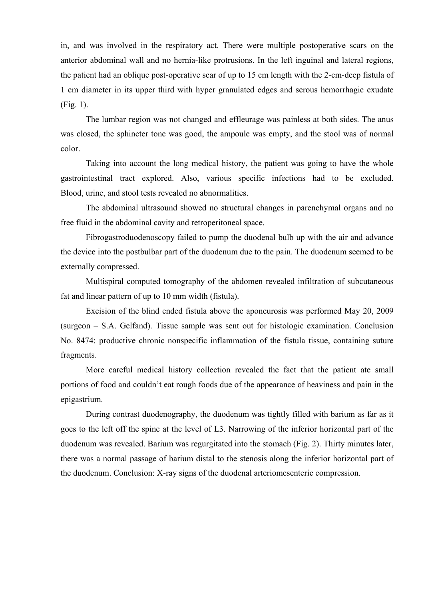in, and was involved in the respiratory act. There were multiple postoperative scars on the anterior abdominal wall and no hernia-like protrusions. In the left inguinal and lateral regions, the patient had an oblique post-operative scar of up to 15 cm length with the 2-cm-deep fistula of 1 cm diameter in its upper third with hyper granulated edges and serous hemorrhagic exudate (Fig. 1).

The lumbar region was not changed and effleurage was painless at both sides. The anus was closed, the sphincter tone was good, the ampoule was empty, and the stool was of normal color.

Taking into account the long medical history, the patient was going to have the whole gastrointestinal tract explored. Also, various specific infections had to be excluded. Blood, urine, and stool tests revealed no abnormalities.

The abdominal ultrasound showed no structural changes in parenchymal organs and no free fluid in the abdominal cavity and retroperitoneal space.

Fibrogastroduodenoscopy failed to pump the duodenal bulb up with the air and advance the device into the postbulbar part of the duodenum due to the pain. The duodenum seemed to be externally compressed.

Multispiral computed tomography of the abdomen revealed infiltration of subcutaneous fat and linear pattern of up to 10 mm width (fistula).

Excision of the blind ended fistula above the aponeurosis was performed May 20, 2009 (surgeon – S.A. Gelfand). Tissue sample was sent out for histologic examination. Conclusion No. 8474: productive chronic nonspecific inflammation of the fistula tissue, containing suture fragments.

More careful medical history collection revealed the fact that the patient ate small portions of food and couldn't eat rough foods due of the appearance of heaviness and pain in the epigastrium.

During contrast duodenography, the duodenum was tightly filled with barium as far as it goes to the left off the spine at the level of L3. Narrowing of the inferior horizontal part of the duodenum was revealed. Barium was regurgitated into the stomach (Fig. 2). Thirty minutes later, there was a normal passage of barium distal to the stenosis along the inferior horizontal part of the duodenum. Conclusion: X-ray signs of the duodenal arteriomesenteric compression.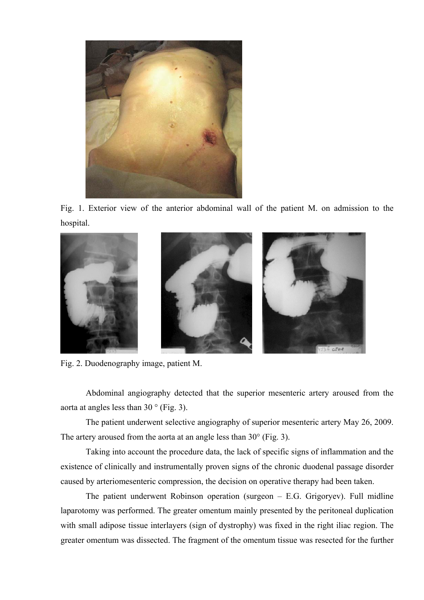

Fig. 1. Exterior view of the anterior abdominal wall of the patient M. on admission to the hospital.



Fig. 2. Duodenography image, patient M.

Abdominal angiography detected that the superior mesenteric artery aroused from the aorta at angles less than  $30^\circ$  (Fig. 3).

The patient underwent selective angiography of superior mesenteric artery May 26, 2009. The artery aroused from the aorta at an angle less than 30° (Fig. 3).

Taking into account the procedure data, the lack of specific signs of inflammation and the existence of clinically and instrumentally proven signs of the chronic duodenal passage disorder caused by arteriomesenteric compression, the decision on operative therapy had been taken.

The patient underwent Robinson operation (surgeon – E.G. Grigoryev). Full midline laparotomy was performed. The greater omentum mainly presented by the peritoneal duplication with small adipose tissue interlayers (sign of dystrophy) was fixed in the right iliac region. The greater omentum was dissected. The fragment of the omentum tissue was resected for the further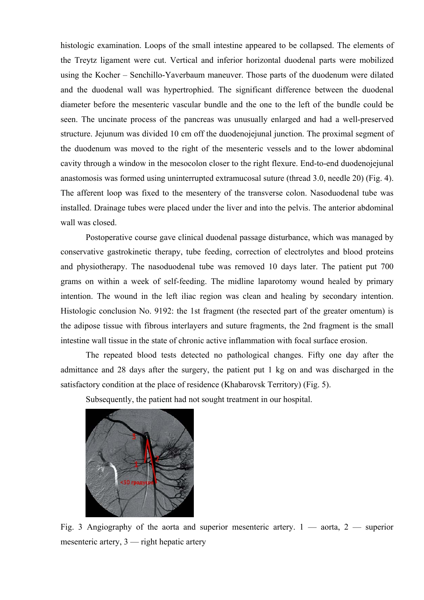histologic examination. Loops of the small intestine appeared to be collapsed. The elements of the Treytz ligament were cut. Vertical and inferior horizontal duodenal parts were mobilized using the Kocher – Senchillo-Yaverbaum maneuver. Those parts of the duodenum were dilated and the duodenal wall was hypertrophied. The significant difference between the duodenal diameter before the mesenteric vascular bundle and the one to the left of the bundle could be seen. The uncinate process of the pancreas was unusually enlarged and had a well-preserved structure. Jejunum was divided 10 cm off the duodenojejunal junction. The proximal segment of the duodenum was moved to the right of the mesenteric vessels and to the lower abdominal cavity through a window in the mesocolon closer to the right flexure. End-to-end duodenojejunal anastomosis was formed using uninterrupted extramucosal suture (thread 3.0, needle 20) (Fig. 4). The afferent loop was fixed to the mesentery of the transverse colon. Nasoduodenal tube was installed. Drainage tubes were placed under the liver and into the pelvis. The anterior abdominal wall was closed.

Postoperative course gave clinical duodenal passage disturbance, which was managed by conservative gastrokinetiс therapy, tube feeding, correction of electrolytes and blood proteins and physiotherapy. The nasoduodenal tube was removed 10 days later. The patient put 700 grams on within a week of self-feeding. The midline laparotomy wound healed by primary intention. The wound in the left iliac region was clean and healing by secondary intention. Histologic conclusion No. 9192: the 1st fragment (the resected part of the greater omentum) is the adipose tissue with fibrous interlayers and suture fragments, the 2nd fragment is the small intestine wall tissue in the state of chronic active inflammation with focal surface erosion.

The repeated blood tests detected no pathological changes. Fifty one day after the admittance and 28 days after the surgery, the patient put 1 kg on and was discharged in the satisfactory condition at the place of residence (Khabarovsk Territory) (Fig. 5).

Subsequently, the patient had not sought treatment in our hospital.



Fig. 3 Angiography of the aorta and superior mesenteric artery.  $1 - \text{aorta}$ ,  $2 - \text{superior}$ mesenteric artery, 3 — right hepatic artery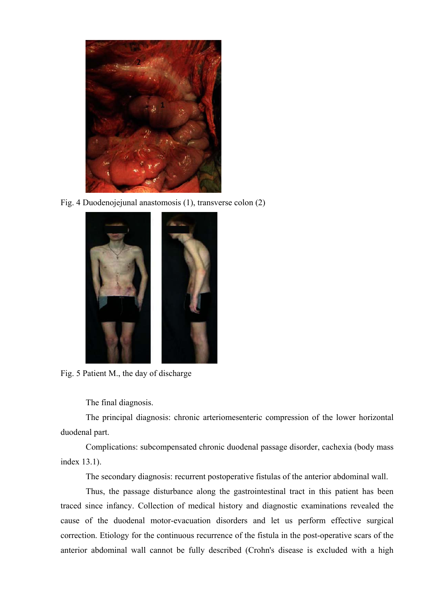

Fig. 4 Duodenojejunal anastomosis (1), transverse colon (2)



Fig. 5 Patient M., the day of discharge

The final diagnosis.

The principal diagnosis: chronic arteriomesenteric compression of the lower horizontal duodenal part.

Complications: subcompensated chronic duodenal passage disorder, cachexia (body mass index 13.1).

The secondary diagnosis: recurrent postoperative fistulas of the anterior abdominal wall.

Thus, the passage disturbance along the gastrointestinal tract in this patient has been traced since infancy. Collection of medical history and diagnostic examinations revealed the cause of the duodenal motor-evacuation disorders and let us perform effective surgical correction. Etiology for the continuous recurrence of the fistula in the post-operative scars of the anterior abdominal wall cannot be fully described (Crohn's disease is excluded with a high